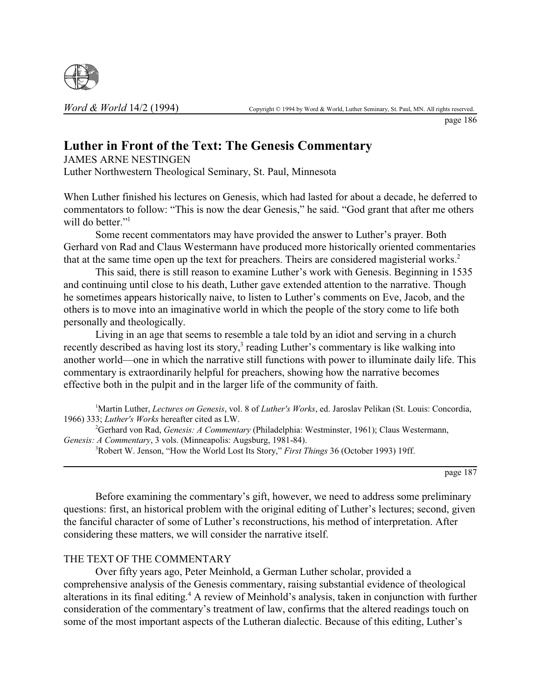

page 186

## **Luther in Front of the Text: The Genesis Commentary**

JAMES ARNE NESTINGEN

Luther Northwestern Theological Seminary, St. Paul, Minnesota

When Luther finished his lectures on Genesis, which had lasted for about a decade, he deferred to commentators to follow: "This is now the dear Genesis," he said. "God grant that after me others will do better."<sup>1</sup>

Some recent commentators may have provided the answer to Luther's prayer. Both Gerhard von Rad and Claus Westermann have produced more historically oriented commentaries that at the same time open up the text for preachers. Theirs are considered magisterial works.<sup>2</sup>

This said, there is still reason to examine Luther's work with Genesis. Beginning in 1535 and continuing until close to his death, Luther gave extended attention to the narrative. Though he sometimes appears historically naive, to listen to Luther's comments on Eve, Jacob, and the others is to move into an imaginative world in which the people of the story come to life both personally and theologically.

Living in an age that seems to resemble a tale told by an idiot and serving in a church recently described as having lost its story,<sup>3</sup> reading Luther's commentary is like walking into another world—one in which the narrative still functions with power to illuminate daily life. This commentary is extraordinarily helpful for preachers, showing how the narrative becomes effective both in the pulpit and in the larger life of the community of faith.

1 Martin Luther, *Lectures on Genesis*, vol. 8 of *Luther's Works*, ed. Jaroslav Pelikan (St. Louis: Concordia, 1966) 333; *Luther's Works* hereafter cited as LW.

2 Gerhard von Rad, *Genesis: A Commentary* (Philadelphia: Westminster, 1961); Claus Westermann, *Genesis: A Commentary*, 3 vols. (Minneapolis: Augsburg, 1981-84).

3 Robert W. Jenson, "How the World Lost Its Story," *First Things* 36 (October 1993) 19ff.

page 187

Before examining the commentary's gift, however, we need to address some preliminary questions: first, an historical problem with the original editing of Luther's lectures; second, given the fanciful character of some of Luther's reconstructions, his method of interpretation. After considering these matters, we will consider the narrative itself.

## THE TEXT OF THE COMMENTARY

Over fifty years ago, Peter Meinhold, a German Luther scholar, provided a comprehensive analysis of the Genesis commentary, raising substantial evidence of theological alterations in its final editing.<sup>4</sup> A review of Meinhold's analysis, taken in conjunction with further consideration of the commentary's treatment of law, confirms that the altered readings touch on some of the most important aspects of the Lutheran dialectic. Because of this editing, Luther's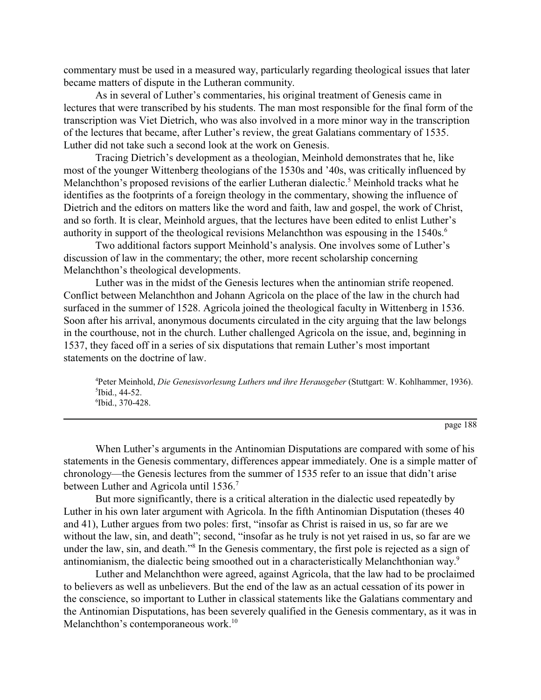commentary must be used in a measured way, particularly regarding theological issues that later became matters of dispute in the Lutheran community.

As in several of Luther's commentaries, his original treatment of Genesis came in lectures that were transcribed by his students. The man most responsible for the final form of the transcription was Viet Dietrich, who was also involved in a more minor way in the transcription of the lectures that became, after Luther's review, the great Galatians commentary of 1535. Luther did not take such a second look at the work on Genesis.

Tracing Dietrich's development as a theologian, Meinhold demonstrates that he, like most of the younger Wittenberg theologians of the 1530s and '40s, was critically influenced by Melanchthon's proposed revisions of the earlier Lutheran dialectic.<sup>5</sup> Meinhold tracks what he identifies as the footprints of a foreign theology in the commentary, showing the influence of Dietrich and the editors on matters like the word and faith, law and gospel, the work of Christ, and so forth. It is clear, Meinhold argues, that the lectures have been edited to enlist Luther's authority in support of the theological revisions Melanchthon was espousing in the 1540s.<sup>6</sup>

Two additional factors support Meinhold's analysis. One involves some of Luther's discussion of law in the commentary; the other, more recent scholarship concerning Melanchthon's theological developments.

Luther was in the midst of the Genesis lectures when the antinomian strife reopened. Conflict between Melanchthon and Johann Agricola on the place of the law in the church had surfaced in the summer of 1528. Agricola joined the theological faculty in Wittenberg in 1536. Soon after his arrival, anonymous documents circulated in the city arguing that the law belongs in the courthouse, not in the church. Luther challenged Agricola on the issue, and, beginning in 1537, they faced off in a series of six disputations that remain Luther's most important statements on the doctrine of law.

4 Peter Meinhold, *Die Genesisvorlesung Luthers und ihre Herausgeber* (Stuttgart: W. Kohlhammer, 1936). 5 Ibid., 44-52. 6 Ibid., 370-428.

page 188

When Luther's arguments in the Antinomian Disputations are compared with some of his statements in the Genesis commentary, differences appear immediately. One is a simple matter of chronology—the Genesis lectures from the summer of 1535 refer to an issue that didn't arise between Luther and Agricola until 1536.<sup>7</sup>

But more significantly, there is a critical alteration in the dialectic used repeatedly by Luther in his own later argument with Agricola. In the fifth Antinomian Disputation (theses 40 and 41), Luther argues from two poles: first, "insofar as Christ is raised in us, so far are we without the law, sin, and death"; second, "insofar as he truly is not yet raised in us, so far are we under the law, sin, and death."<sup>8</sup> In the Genesis commentary, the first pole is rejected as a sign of antinomianism, the dialectic being smoothed out in a characteristically Melanchthonian way.9

Luther and Melanchthon were agreed, against Agricola, that the law had to be proclaimed to believers as well as unbelievers. But the end of the law as an actual cessation of its power in the conscience, so important to Luther in classical statements like the Galatians commentary and the Antinomian Disputations, has been severely qualified in the Genesis commentary, as it was in Melanchthon's contemporaneous work.<sup>10</sup>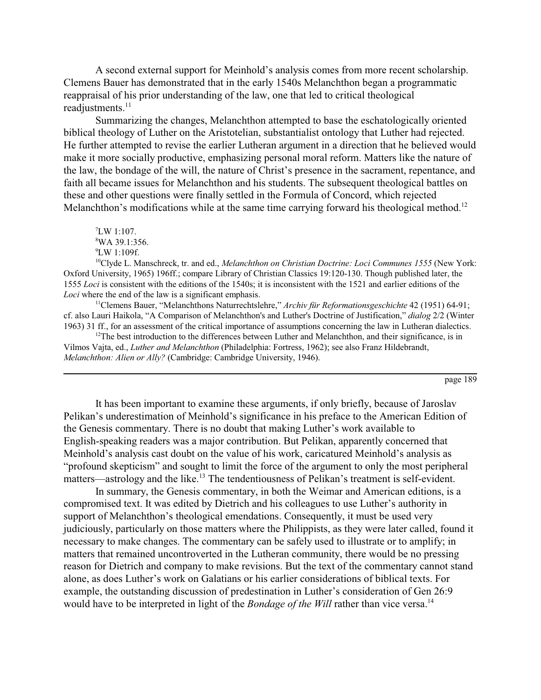A second external support for Meinhold's analysis comes from more recent scholarship. Clemens Bauer has demonstrated that in the early 1540s Melanchthon began a programmatic reappraisal of his prior understanding of the law, one that led to critical theological readjustments.<sup>11</sup>

Summarizing the changes, Melanchthon attempted to base the eschatologically oriented biblical theology of Luther on the Aristotelian, substantialist ontology that Luther had rejected. He further attempted to revise the earlier Lutheran argument in a direction that he believed would make it more socially productive, emphasizing personal moral reform. Matters like the nature of the law, the bondage of the will, the nature of Christ's presence in the sacrament, repentance, and faith all became issues for Melanchthon and his students. The subsequent theological battles on these and other questions were finally settled in the Formula of Concord, which rejected Melanchthon's modifications while at the same time carrying forward his theological method.<sup>12</sup>

10Clyde L. Manschreck, tr. and ed., *Melanchthon on Christian Doctrine: Loci Communes 1555* (New York: Oxford University, 1965) 196ff.; compare Library of Christian Classics 19:120-130. Though published later, the 1555 *Loci* is consistent with the editions of the 1540s; it is inconsistent with the 1521 and earlier editions of the *Loci* where the end of the law is a significant emphasis.

11Clemens Bauer, "Melanchthons Naturrechtslehre," *Archiv für Reformationsgeschichte* 42 (1951) 64-91; cf. also Lauri Haikola, "A Comparison of Melanchthon's and Luther's Doctrine of Justification," *dialog* 2/2 (Winter 1963) 31 ff., for an assessment of the critical importance of assumptions concerning the law in Lutheran dialectics.

 $12$ The best introduction to the differences between Luther and Melanchthon, and their significance, is in Vilmos Vajta, ed., *Luther and Melanchthon* (Philadelphia: Fortress, 1962); see also Franz Hildebrandt, *Melanchthon: Alien or Ally?* (Cambridge: Cambridge University, 1946).

page 189

It has been important to examine these arguments, if only briefly, because of Jaroslav Pelikan's underestimation of Meinhold's significance in his preface to the American Edition of the Genesis commentary. There is no doubt that making Luther's work available to English-speaking readers was a major contribution. But Pelikan, apparently concerned that Meinhold's analysis cast doubt on the value of his work, caricatured Meinhold's analysis as "profound skepticism" and sought to limit the force of the argument to only the most peripheral matters—astrology and the like.<sup>13</sup> The tendentiousness of Pelikan's treatment is self-evident.

In summary, the Genesis commentary, in both the Weimar and American editions, is a compromised text. It was edited by Dietrich and his colleagues to use Luther's authority in support of Melanchthon's theological emendations. Consequently, it must be used very judiciously, particularly on those matters where the Philippists, as they were later called, found it necessary to make changes. The commentary can be safely used to illustrate or to amplify; in matters that remained uncontroverted in the Lutheran community, there would be no pressing reason for Dietrich and company to make revisions. But the text of the commentary cannot stand alone, as does Luther's work on Galatians or his earlier considerations of biblical texts. For example, the outstanding discussion of predestination in Luther's consideration of Gen 26:9 would have to be interpreted in light of the *Bondage of the Will* rather than vice versa.<sup>14</sup>

<sup>7</sup> LW 1:107. 8 WA 39.1:356.

<sup>9</sup> LW 1:109f.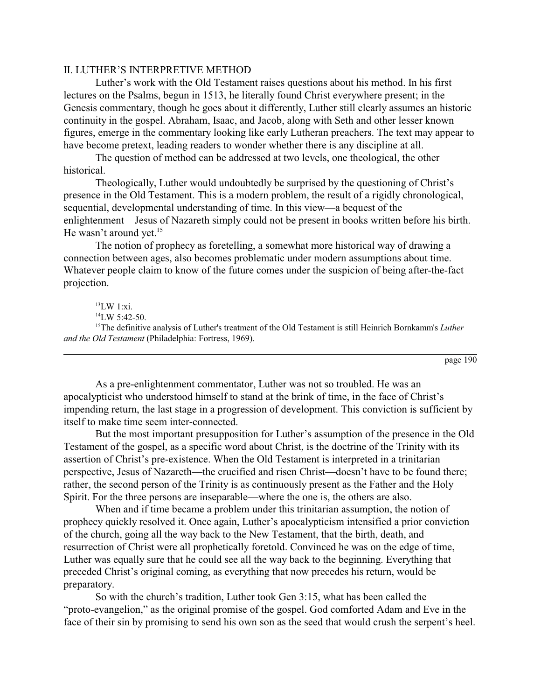## II. LUTHER'S INTERPRETIVE METHOD

Luther's work with the Old Testament raises questions about his method. In his first lectures on the Psalms, begun in 1513, he literally found Christ everywhere present; in the Genesis commentary, though he goes about it differently, Luther still clearly assumes an historic continuity in the gospel. Abraham, Isaac, and Jacob, along with Seth and other lesser known figures, emerge in the commentary looking like early Lutheran preachers. The text may appear to have become pretext, leading readers to wonder whether there is any discipline at all.

The question of method can be addressed at two levels, one theological, the other historical.

Theologically, Luther would undoubtedly be surprised by the questioning of Christ's presence in the Old Testament. This is a modern problem, the result of a rigidly chronological, sequential, developmental understanding of time. In this view—a bequest of the enlightenment—Jesus of Nazareth simply could not be present in books written before his birth. He wasn't around yet.<sup>15</sup>

The notion of prophecy as foretelling, a somewhat more historical way of drawing a connection between ages, also becomes problematic under modern assumptions about time. Whatever people claim to know of the future comes under the suspicion of being after-the-fact projection.

 $13$ LW  $1 \cdot x$ i  $14$ LW 5:42-50. <sup>15</sup>The definitive analysis of Luther's treatment of the Old Testament is still Heinrich Bornkamm's *Luther and the Old Testament* (Philadelphia: Fortress, 1969).

page 190

As a pre-enlightenment commentator, Luther was not so troubled. He was an apocalypticist who understood himself to stand at the brink of time, in the face of Christ's impending return, the last stage in a progression of development. This conviction is sufficient by itself to make time seem inter-connected.

But the most important presupposition for Luther's assumption of the presence in the Old Testament of the gospel, as a specific word about Christ, is the doctrine of the Trinity with its assertion of Christ's pre-existence. When the Old Testament is interpreted in a trinitarian perspective, Jesus of Nazareth—the crucified and risen Christ—doesn't have to be found there; rather, the second person of the Trinity is as continuously present as the Father and the Holy Spirit. For the three persons are inseparable—where the one is, the others are also.

When and if time became a problem under this trinitarian assumption, the notion of prophecy quickly resolved it. Once again, Luther's apocalypticism intensified a prior conviction of the church, going all the way back to the New Testament, that the birth, death, and resurrection of Christ were all prophetically foretold. Convinced he was on the edge of time, Luther was equally sure that he could see all the way back to the beginning. Everything that preceded Christ's original coming, as everything that now precedes his return, would be preparatory.

So with the church's tradition, Luther took Gen 3:15, what has been called the "proto-evangelion," as the original promise of the gospel. God comforted Adam and Eve in the face of their sin by promising to send his own son as the seed that would crush the serpent's heel.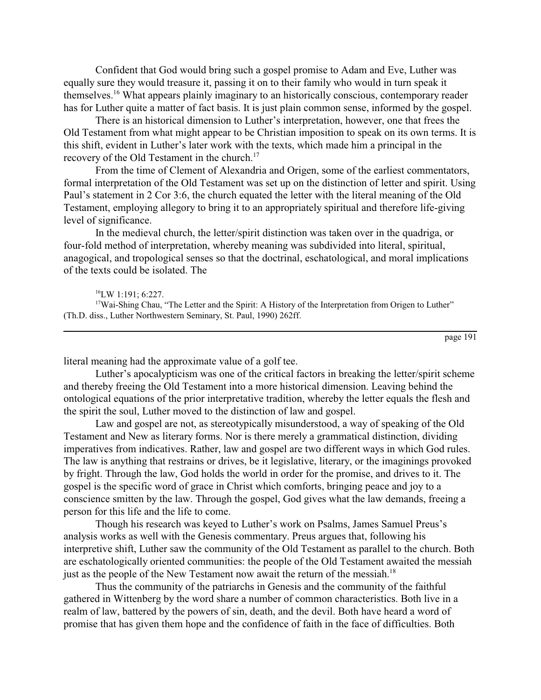Confident that God would bring such a gospel promise to Adam and Eve, Luther was equally sure they would treasure it, passing it on to their family who would in turn speak it themselves.16 What appears plainly imaginary to an historically conscious, contemporary reader has for Luther quite a matter of fact basis. It is just plain common sense, informed by the gospel.

There is an historical dimension to Luther's interpretation, however, one that frees the Old Testament from what might appear to be Christian imposition to speak on its own terms. It is this shift, evident in Luther's later work with the texts, which made him a principal in the recovery of the Old Testament in the church.<sup>17</sup>

From the time of Clement of Alexandria and Origen, some of the earliest commentators, formal interpretation of the Old Testament was set up on the distinction of letter and spirit. Using Paul's statement in 2 Cor 3:6, the church equated the letter with the literal meaning of the Old Testament, employing allegory to bring it to an appropriately spiritual and therefore life-giving level of significance.

In the medieval church, the letter/spirit distinction was taken over in the quadriga, or four-fold method of interpretation, whereby meaning was subdivided into literal, spiritual, anagogical, and tropological senses so that the doctrinal, eschatological, and moral implications of the texts could be isolated. The

literal meaning had the approximate value of a golf tee.

Luther's apocalypticism was one of the critical factors in breaking the letter/spirit scheme and thereby freeing the Old Testament into a more historical dimension. Leaving behind the ontological equations of the prior interpretative tradition, whereby the letter equals the flesh and the spirit the soul, Luther moved to the distinction of law and gospel.

Law and gospel are not, as stereotypically misunderstood, a way of speaking of the Old Testament and New as literary forms. Nor is there merely a grammatical distinction, dividing imperatives from indicatives. Rather, law and gospel are two different ways in which God rules. The law is anything that restrains or drives, be it legislative, literary, or the imaginings provoked by fright. Through the law, God holds the world in order for the promise, and drives to it. The gospel is the specific word of grace in Christ which comforts, bringing peace and joy to a conscience smitten by the law. Through the gospel, God gives what the law demands, freeing a person for this life and the life to come.

Though his research was keyed to Luther's work on Psalms, James Samuel Preus's analysis works as well with the Genesis commentary. Preus argues that, following his interpretive shift, Luther saw the community of the Old Testament as parallel to the church. Both are eschatologically oriented communities: the people of the Old Testament awaited the messiah just as the people of the New Testament now await the return of the messiah.<sup>18</sup>

Thus the community of the patriarchs in Genesis and the community of the faithful gathered in Wittenberg by the word share a number of common characteristics. Both live in a realm of law, battered by the powers of sin, death, and the devil. Both have heard a word of promise that has given them hope and the confidence of faith in the face of difficulties. Both

 $16$ LW 1:191: 6:227.

<sup>&</sup>lt;sup>17</sup>Wai-Shing Chau, "The Letter and the Spirit: A History of the Interpretation from Origen to Luther" (Th.D. diss., Luther Northwestern Seminary, St. Paul, 1990) 262ff.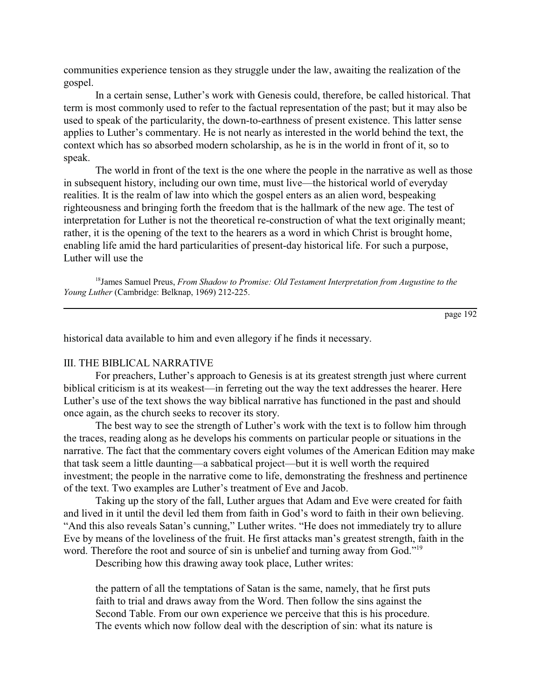communities experience tension as they struggle under the law, awaiting the realization of the gospel.

In a certain sense, Luther's work with Genesis could, therefore, be called historical. That term is most commonly used to refer to the factual representation of the past; but it may also be used to speak of the particularity, the down-to-earthness of present existence. This latter sense applies to Luther's commentary. He is not nearly as interested in the world behind the text, the context which has so absorbed modern scholarship, as he is in the world in front of it, so to speak.

The world in front of the text is the one where the people in the narrative as well as those in subsequent history, including our own time, must live—the historical world of everyday realities. It is the realm of law into which the gospel enters as an alien word, bespeaking righteousness and bringing forth the freedom that is the hallmark of the new age. The test of interpretation for Luther is not the theoretical re-construction of what the text originally meant; rather, it is the opening of the text to the hearers as a word in which Christ is brought home, enabling life amid the hard particularities of present-day historical life. For such a purpose, Luther will use the

18James Samuel Preus, *From Shadow to Promise: Old Testament Interpretation from Augustine to the Young Luther* (Cambridge: Belknap, 1969) 212-225.

page 192

historical data available to him and even allegory if he finds it necessary.

## III. THE BIBLICAL NARRATIVE

For preachers, Luther's approach to Genesis is at its greatest strength just where current biblical criticism is at its weakest—in ferreting out the way the text addresses the hearer. Here Luther's use of the text shows the way biblical narrative has functioned in the past and should once again, as the church seeks to recover its story.

The best way to see the strength of Luther's work with the text is to follow him through the traces, reading along as he develops his comments on particular people or situations in the narrative. The fact that the commentary covers eight volumes of the American Edition may make that task seem a little daunting—a sabbatical project—but it is well worth the required investment; the people in the narrative come to life, demonstrating the freshness and pertinence of the text. Two examples are Luther's treatment of Eve and Jacob.

Taking up the story of the fall, Luther argues that Adam and Eve were created for faith and lived in it until the devil led them from faith in God's word to faith in their own believing. "And this also reveals Satan's cunning," Luther writes. "He does not immediately try to allure Eve by means of the loveliness of the fruit. He first attacks man's greatest strength, faith in the word. Therefore the root and source of sin is unbelief and turning away from God."<sup>19</sup>

Describing how this drawing away took place, Luther writes:

the pattern of all the temptations of Satan is the same, namely, that he first puts faith to trial and draws away from the Word. Then follow the sins against the Second Table. From our own experience we perceive that this is his procedure. The events which now follow deal with the description of sin: what its nature is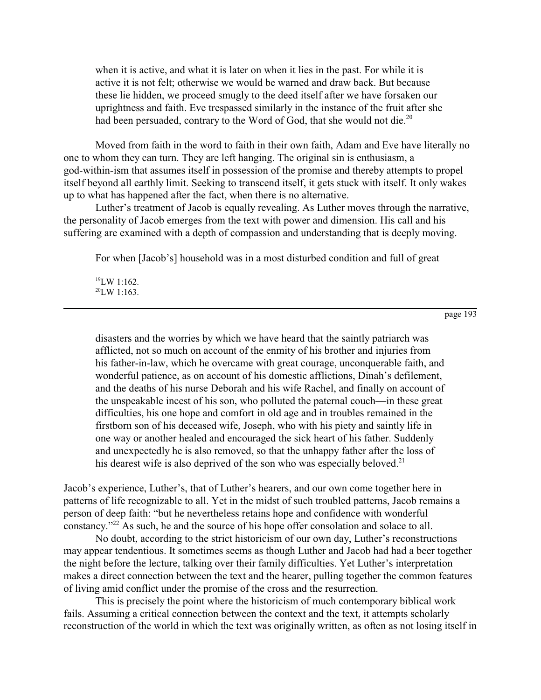when it is active, and what it is later on when it lies in the past. For while it is active it is not felt; otherwise we would be warned and draw back. But because these lie hidden, we proceed smugly to the deed itself after we have forsaken our uprightness and faith. Eve trespassed similarly in the instance of the fruit after she had been persuaded, contrary to the Word of God, that she would not die.<sup>20</sup>

Moved from faith in the word to faith in their own faith, Adam and Eve have literally no one to whom they can turn. They are left hanging. The original sin is enthusiasm, a god-within-ism that assumes itself in possession of the promise and thereby attempts to propel itself beyond all earthly limit. Seeking to transcend itself, it gets stuck with itself. It only wakes up to what has happened after the fact, when there is no alternative.

Luther's treatment of Jacob is equally revealing. As Luther moves through the narrative, the personality of Jacob emerges from the text with power and dimension. His call and his suffering are examined with a depth of compassion and understanding that is deeply moving.

For when [Jacob's] household was in a most disturbed condition and full of great

19LW 1:162.  $^{20}$ LW 1:163.

page 193

disasters and the worries by which we have heard that the saintly patriarch was afflicted, not so much on account of the enmity of his brother and injuries from his father-in-law, which he overcame with great courage, unconquerable faith, and wonderful patience, as on account of his domestic afflictions, Dinah's defilement, and the deaths of his nurse Deborah and his wife Rachel, and finally on account of the unspeakable incest of his son, who polluted the paternal couch—in these great difficulties, his one hope and comfort in old age and in troubles remained in the firstborn son of his deceased wife, Joseph, who with his piety and saintly life in one way or another healed and encouraged the sick heart of his father. Suddenly and unexpectedly he is also removed, so that the unhappy father after the loss of his dearest wife is also deprived of the son who was especially beloved.<sup>21</sup>

Jacob's experience, Luther's, that of Luther's hearers, and our own come together here in patterns of life recognizable to all. Yet in the midst of such troubled patterns, Jacob remains a person of deep faith: "but he nevertheless retains hope and confidence with wonderful constancy."22 As such, he and the source of his hope offer consolation and solace to all.

No doubt, according to the strict historicism of our own day, Luther's reconstructions may appear tendentious. It sometimes seems as though Luther and Jacob had had a beer together the night before the lecture, talking over their family difficulties. Yet Luther's interpretation makes a direct connection between the text and the hearer, pulling together the common features of living amid conflict under the promise of the cross and the resurrection.

This is precisely the point where the historicism of much contemporary biblical work fails. Assuming a critical connection between the context and the text, it attempts scholarly reconstruction of the world in which the text was originally written, as often as not losing itself in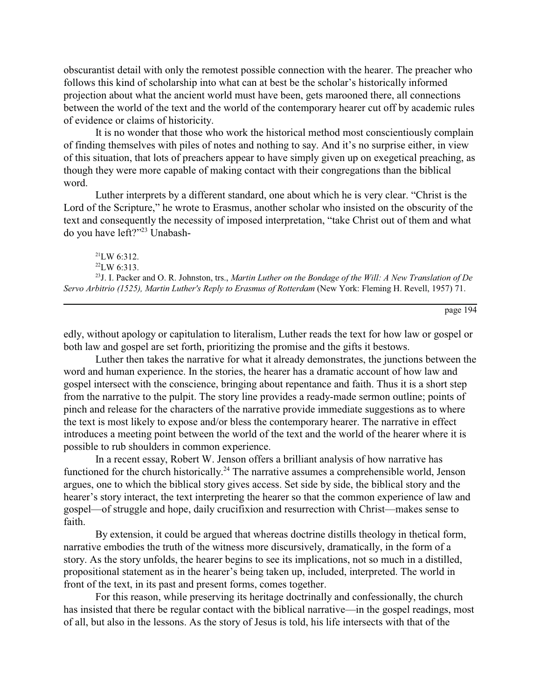obscurantist detail with only the remotest possible connection with the hearer. The preacher who follows this kind of scholarship into what can at best be the scholar's historically informed projection about what the ancient world must have been, gets marooned there, all connections between the world of the text and the world of the contemporary hearer cut off by academic rules of evidence or claims of historicity.

It is no wonder that those who work the historical method most conscientiously complain of finding themselves with piles of notes and nothing to say. And it's no surprise either, in view of this situation, that lots of preachers appear to have simply given up on exegetical preaching, as though they were more capable of making contact with their congregations than the biblical word.

Luther interprets by a different standard, one about which he is very clear. "Christ is the Lord of the Scripture," he wrote to Erasmus, another scholar who insisted on the obscurity of the text and consequently the necessity of imposed interpretation, "take Christ out of them and what do you have left?"23 Unabash-

 $^{21}$ LW 6:312.  $^{22}$ LW 6:313. 23J. I. Packer and O. R. Johnston, trs., *Martin Luther on the Bondage of the Will: A New Translation of De Servo Arbitrio (1525), Martin Luther's Reply to Erasmus of Rotterdam* (New York: Fleming H. Revell, 1957) 71.

page 194

edly, without apology or capitulation to literalism, Luther reads the text for how law or gospel or both law and gospel are set forth, prioritizing the promise and the gifts it bestows.

Luther then takes the narrative for what it already demonstrates, the junctions between the word and human experience. In the stories, the hearer has a dramatic account of how law and gospel intersect with the conscience, bringing about repentance and faith. Thus it is a short step from the narrative to the pulpit. The story line provides a ready-made sermon outline; points of pinch and release for the characters of the narrative provide immediate suggestions as to where the text is most likely to expose and/or bless the contemporary hearer. The narrative in effect introduces a meeting point between the world of the text and the world of the hearer where it is possible to rub shoulders in common experience.

In a recent essay, Robert W. Jenson offers a brilliant analysis of how narrative has functioned for the church historically.<sup>24</sup> The narrative assumes a comprehensible world, Jenson argues, one to which the biblical story gives access. Set side by side, the biblical story and the hearer's story interact, the text interpreting the hearer so that the common experience of law and gospel—of struggle and hope, daily crucifixion and resurrection with Christ—makes sense to faith.

By extension, it could be argued that whereas doctrine distills theology in thetical form, narrative embodies the truth of the witness more discursively, dramatically, in the form of a story. As the story unfolds, the hearer begins to see its implications, not so much in a distilled, propositional statement as in the hearer's being taken up, included, interpreted. The world in front of the text, in its past and present forms, comes together.

For this reason, while preserving its heritage doctrinally and confessionally, the church has insisted that there be regular contact with the biblical narrative—in the gospel readings, most of all, but also in the lessons. As the story of Jesus is told, his life intersects with that of the